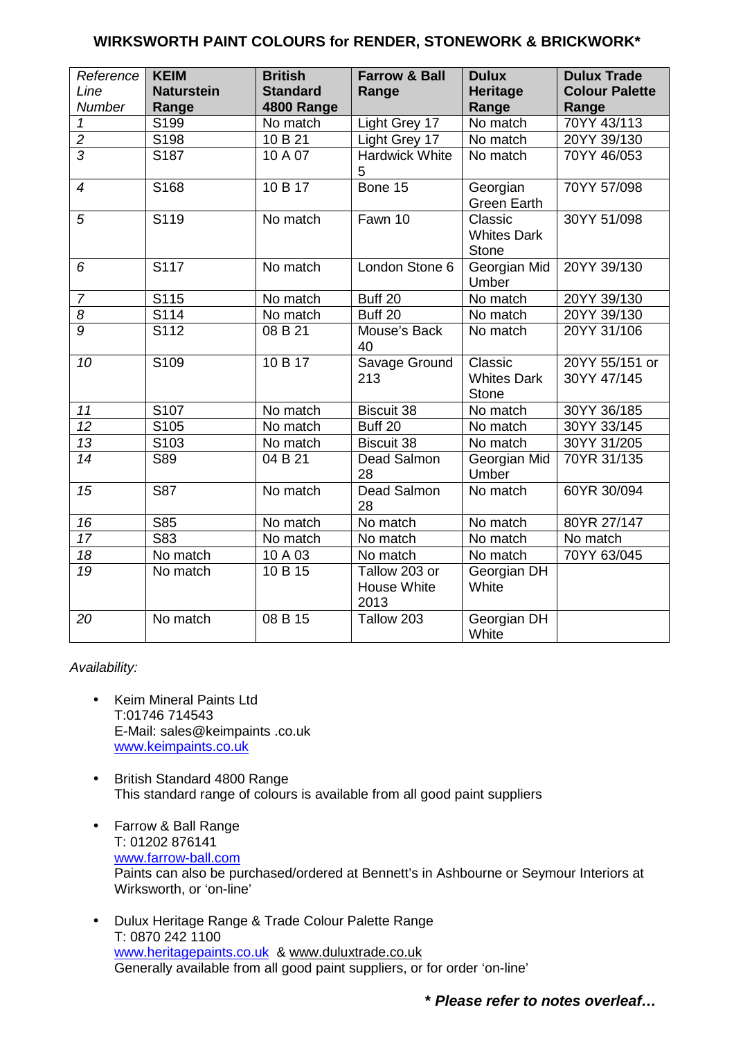#### **WIRKSWORTH PAINT COLOURS for RENDER, STONEWORK & BRICKWORK\***

| Reference<br>Line<br>Number | <b>KEIM</b><br><b>Naturstein</b><br>Range | <b>British</b><br><b>Standard</b><br>4800 Range | <b>Farrow &amp; Ball</b><br>Range    | <b>Dulux</b><br><b>Heritage</b><br>Range      | <b>Dulux Trade</b><br><b>Colour Palette</b><br>Range |
|-----------------------------|-------------------------------------------|-------------------------------------------------|--------------------------------------|-----------------------------------------------|------------------------------------------------------|
| $\mathbf 1$                 | S199                                      | No match                                        | Light Grey 17                        | No match                                      | 70YY 43/113                                          |
| $\overline{2}$              | S198                                      | 10 B 21                                         | Light Grey 17                        | No match                                      | 20YY 39/130                                          |
| $\overline{3}$              | S187                                      | 10 A 07                                         | <b>Hardwick White</b><br>5           | No match                                      | 70YY 46/053                                          |
| $\overline{4}$              | S168                                      | 10 B 17                                         | Bone 15                              | Georgian<br><b>Green Earth</b>                | 70YY 57/098                                          |
| 5                           | S119                                      | No match                                        | Fawn 10                              | Classic<br><b>Whites Dark</b><br><b>Stone</b> | 30YY 51/098                                          |
| 6                           | S <sub>117</sub>                          | No match                                        | London Stone 6                       | Georgian Mid<br>Umber                         | 20YY 39/130                                          |
| $\overline{7}$              | S115                                      | No match                                        | Buff 20                              | No match                                      | 20YY 39/130                                          |
| $\overline{8}$              | $\overline{S114}$                         | No match                                        | Buff 20                              | No match                                      | 20YY 39/130                                          |
| 9                           | S <sub>112</sub>                          | 08 B 21                                         | Mouse's Back<br>40                   | No match                                      | 20YY 31/106                                          |
| 10                          | S109                                      | 10B17                                           | Savage Ground<br>213                 | Classic<br><b>Whites Dark</b><br><b>Stone</b> | 20YY 55/151 or<br>30YY 47/145                        |
| 11                          | S107                                      | No match                                        | <b>Biscuit 38</b>                    | No match                                      | 30YY 36/185                                          |
| $\overline{12}$             | S105                                      | No match                                        | Buff 20                              | No match                                      | 30YY 33/145                                          |
| $\overline{13}$             | S <sub>103</sub>                          | No match                                        | <b>Biscuit 38</b>                    | No match                                      | 30YY 31/205                                          |
| 14                          | <b>S89</b>                                | 04 B 21                                         | Dead Salmon<br>28                    | Georgian Mid<br>Umber                         | 70YR 31/135                                          |
| 15                          | S87                                       | No match                                        | <b>Dead Salmon</b><br>28             | No match                                      | 60YR 30/094                                          |
| 16                          | <b>S85</b>                                | No match                                        | No match                             | No match                                      | 80YR 27/147                                          |
| $\overline{17}$             | S83                                       | No match                                        | No match                             | No match                                      | No match                                             |
| 18                          | No match                                  | 10 A 03                                         | No match                             | No match                                      | 70YY 63/045                                          |
| 19                          | No match                                  | 10 B 15                                         | Tallow 203 or<br>House White<br>2013 | Georgian DH<br>White                          |                                                      |
| 20                          | No match                                  | 08 B 15                                         | Tallow 203                           | Georgian DH<br>White                          |                                                      |

#### Availability:

- Keim Mineral Paints Ltd T:01746 714543 E-Mail: sales@keimpaints .co.uk www.keimpaints.co.uk
- British Standard 4800 Range This standard range of colours is available from all good paint suppliers
- Farrow & Ball Range T: 01202 876141 www.farrow-ball.com Paints can also be purchased/ordered at Bennett's in Ashbourne or Seymour Interiors at Wirksworth, or 'on-line'
- Dulux Heritage Range & Trade Colour Palette Range T: 0870 242 1100 www.heritagepaints.co.uk & www.duluxtrade.co.uk Generally available from all good paint suppliers, or for order 'on-line'

**\* Please refer to notes overleaf…**